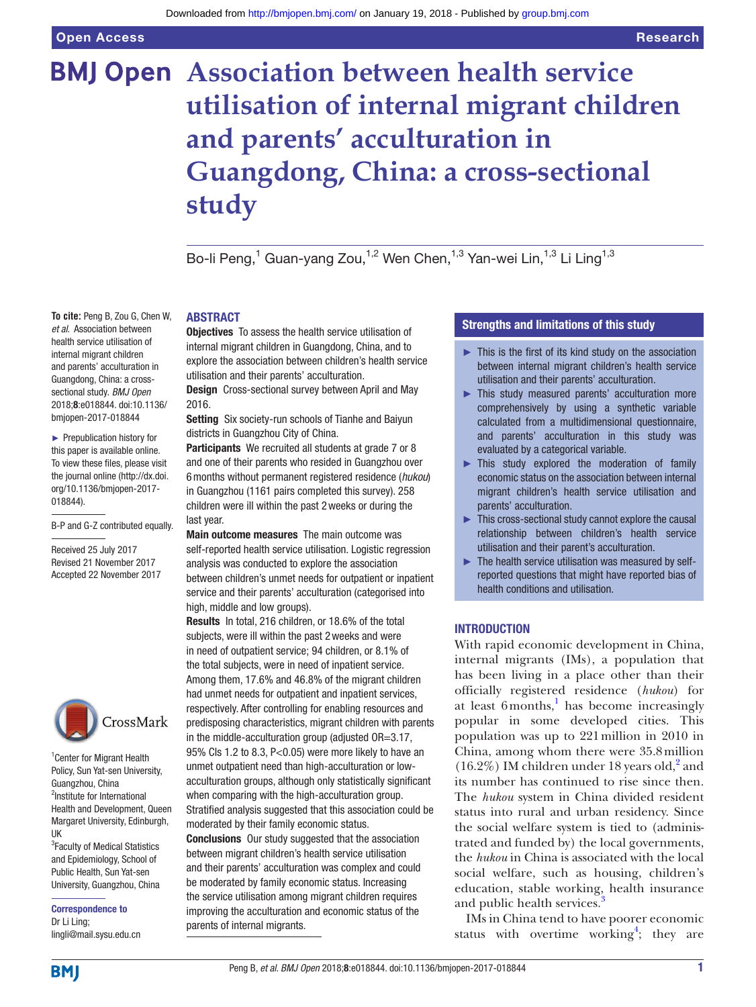# **BMJ Open** Association between health service **utilisation of internal migrant children and parents' acculturation in Guangdong, China: a cross-sectional study**

Bo-li Peng,<sup>1</sup> Guan-yang Zou,<sup>1,2</sup> Wen Chen,<sup>1,3</sup> Yan-wei Lin,<sup>1,3</sup> Li Ling<sup>1,3</sup>

#### **To cite:** Peng B, Zou G, Chen W, *et al*. Association between health service utilisation of internal migrant children and parents' acculturation in Guangdong, China: a crosssectional study. *BMJ Open* 2018;8:e018844. doi:10.1136/ bmjopen-2017-018844

► Prepublication history for this paper is available online. To view these files, please visit the journal online [\(http://dx.doi.](http://dx.doi.org/10.1136/bmjopen-2017-018844) [org/10.1136/bmjopen-2017-](http://dx.doi.org/10.1136/bmjopen-2017-018844) [018844\)](http://dx.doi.org/10.1136/bmjopen-2017-018844).

B-P and G-Z contributed equally.

Received 25 July 2017 Revised 21 November 2017 Accepted 22 November 2017



<sup>1</sup> Center for Migrant Health Policy, Sun Yat-sen University, Guangzhou, China 2 Institute for International Health and Development, Queen Margaret University, Edinburgh, UK

<sup>3</sup> Faculty of Medical Statistics and Epidemiology, School of Public Health, Sun Yat-sen University, Guangzhou, China

Correspondence to Dr Li Ling; lingli@mail.sysu.edu.cn

# **ABSTRACT**

**Objectives** To assess the health service utilisation of internal migrant children in Guangdong, China, and to explore the association between children's health service utilisation and their parents' acculturation.

Design Cross-sectional survey between April and May 2016.

Setting Six society-run schools of Tianhe and Baiyun districts in Guangzhou City of China.

Participants We recruited all students at grade 7 or 8 and one of their parents who resided in Guangzhou over 6months without permanent registered residence (*hukou*) in Guangzhou (1161 pairs completed this survey). 258 children were ill within the past 2weeks or during the last year.

Main outcome measures The main outcome was self-reported health service utilisation. Logistic regression analysis was conducted to explore the association between children's unmet needs for outpatient or inpatient service and their parents' acculturation (categorised into high, middle and low groups).

Results In total, 216 children, or 18.6% of the total subjects, were ill within the past 2weeks and were in need of outpatient service; 94 children, or 8.1% of the total subjects, were in need of inpatient service. Among them, 17.6% and 46.8% of the migrant children had unmet needs for outpatient and inpatient services, respectively. After controlling for enabling resources and predisposing characteristics, migrant children with parents in the middle-acculturation group (adjusted OR=3.17, 95% CIs 1.2 to 8.3, P<0.05) were more likely to have an unmet outpatient need than high-acculturation or lowacculturation groups, although only statistically significant when comparing with the high-acculturation group. Stratified analysis suggested that this association could be moderated by their family economic status. Conclusions Our study suggested that the association between migrant children's health service utilisation and their parents' acculturation was complex and could be moderated by family economic status. Increasing

the service utilisation among migrant children requires improving the acculturation and economic status of the

parents of internal migrants.

# Strengths and limitations of this study

- $\blacktriangleright$  This is the first of its kind study on the association between internal migrant children's health service utilisation and their parents' acculturation.
- ► This study measured parents' acculturation more comprehensively by using a synthetic variable calculated from a multidimensional questionnaire, and parents' acculturation in this study was evaluated by a categorical variable.
- ► This study explored the moderation of family economic status on the association between internal migrant children's health service utilisation and parents' acculturation.
- ► This cross-sectional study cannot explore the causal relationship between children's health service utilisation and their parent's acculturation.
- $\blacktriangleright$  The health service utilisation was measured by selfreported questions that might have reported bias of health conditions and utilisation.

# **INTRODUCTION**

With rapid economic development in China, internal migrants (IMs), a population that has been living in a place other than their officially registered residence (*hukou*) for at least  $6$  months,<sup>[1](#page-10-0)</sup> has become increasingly popular in some developed cities. This population was up to 221million in 2010 in China, among whom there were 35.8million  $(16.2\%)$  IM children under 18 years old,<sup>2</sup> and its number has continued to rise since then. The *hukou* system in China divided resident status into rural and urban residency. Since the social welfare system is tied to (administrated and funded by) the local governments, the *hukou* in China is associated with the local social welfare, such as housing, children's education, stable working, health insurance and public health services.<sup>[3](#page-10-2)</sup>

IMs in China tend to have poorer economic status with overtime working<sup>[4](#page-10-3)</sup>; they are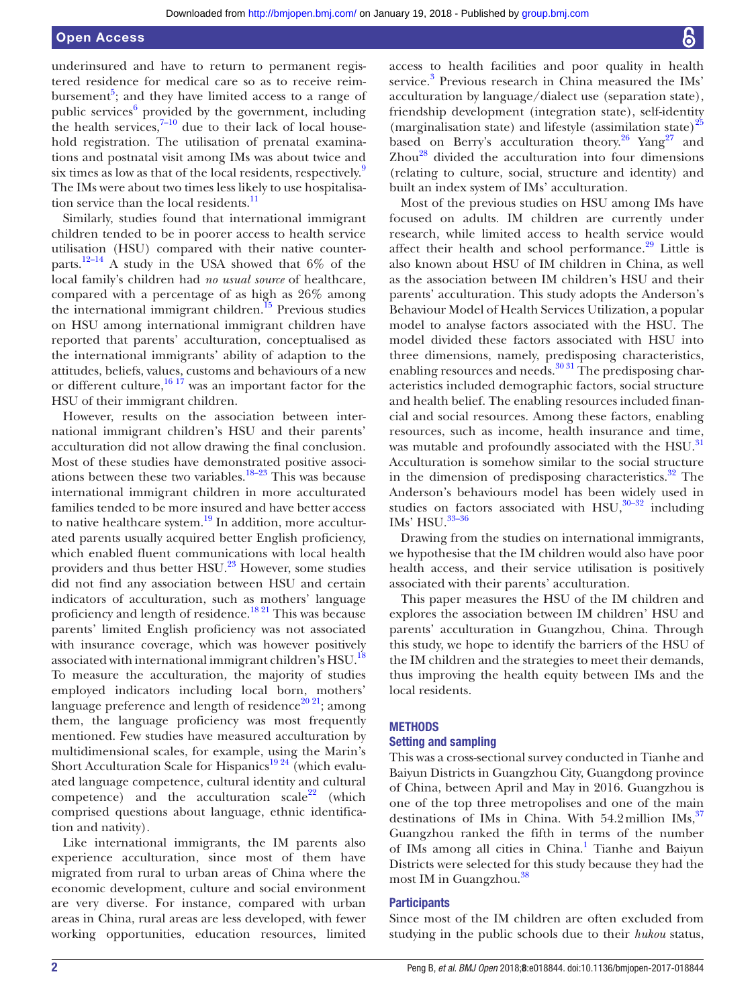underinsured and have to return to permanent registered residence for medical care so as to receive reimbursement<sup>5</sup>; and they have limited access to a range of public services<sup>[6](#page-10-5)</sup> provided by the government, including the health services,  $7-10$  due to their lack of local household registration. The utilisation of prenatal examinations and postnatal visit among IMs was about twice and six times as low as that of the local residents, respectively.<sup>[9](#page-10-7)</sup> The IMs were about two times less likely to use hospitalisa-tion service than the local residents.<sup>[11](#page-10-8)</sup>

Similarly, studies found that international immigrant children tended to be in poorer access to health service utilisation (HSU) compared with their native counterparts.<sup>12–14</sup> A study in the USA showed that  $6\%$  of the local family's children had *no usual source* of healthcare, compared with a percentage of as high as 26% among the international immigrant children.<sup>15</sup> Previous studies on HSU among international immigrant children have reported that parents' acculturation, conceptualised as the international immigrants' ability of adaption to the attitudes, beliefs, values, customs and behaviours of a new or different culture,  $16\frac{17}{7}$  was an important factor for the HSU of their immigrant children.

However, results on the association between international immigrant children's HSU and their parents' acculturation did not allow drawing the final conclusion. Most of these studies have demonstrated positive associations between these two variables.<sup>18–23</sup> This was because international immigrant children in more acculturated families tended to be more insured and have better access to native healthcare system.<sup>[19](#page-11-3)</sup> In addition, more acculturated parents usually acquired better English proficiency, which enabled fluent communications with local health providers and thus better HSU.<sup>[23](#page-11-4)</sup> However, some studies did not find any association between HSU and certain indicators of acculturation, such as mothers' language proficiency and length of residence.<sup>18 21</sup> This was because parents' limited English proficiency was not associated with insurance coverage, which was however positively associated with international immigrant children's HSU.<sup>18</sup> To measure the acculturation, the majority of studies employed indicators including local born, mothers' language preference and length of residence<sup>20 21</sup>; among them, the language proficiency was most frequently mentioned. Few studies have measured acculturation by multidimensional scales, for example, using the Marin's Short Acculturation Scale for Hispanics<sup>19 24</sup> (which evaluated language competence, cultural identity and cultural competence) and the acculturation scale<sup>22</sup> (which comprised questions about language, ethnic identification and nativity).

Like international immigrants, the IM parents also experience acculturation, since most of them have migrated from rural to urban areas of China where the economic development, culture and social environment are very diverse. For instance, compared with urban areas in China, rural areas are less developed, with fewer working opportunities, education resources, limited

access to health facilities and poor quality in health service.<sup>[3](#page-10-2)</sup> Previous research in China measured the IMs' acculturation by language/dialect use (separation state), friendship development (integration state), self-identity (marginalisation state) and lifestyle (assimilation state)<sup>[25](#page-11-7)</sup> based on Berry's acculturation theory.<sup>26</sup> Yang<sup>27</sup> and  $Zhou<sup>28</sup>$  divided the acculturation into four dimensions (relating to culture, social, structure and identity) and built an index system of IMs' acculturation.

Most of the previous studies on HSU among IMs have focused on adults. IM children are currently under research, while limited access to health service would affect their health and school performance. $29$  Little is also known about HSU of IM children in China, as well as the association between IM children's HSU and their parents' acculturation. This study adopts the Anderson's Behaviour Model of Health Services Utilization, a popular model to analyse factors associated with the HSU. The model divided these factors associated with HSU into three dimensions, namely, predisposing characteristics, enabling resources and needs.<sup>3031</sup> The predisposing characteristics included demographic factors, social structure and health belief. The enabling resources included financial and social resources. Among these factors, enabling resources, such as income, health insurance and time, was mutable and profoundly associated with the HSU.<sup>[31](#page-11-13)</sup> Acculturation is somehow similar to the social structure in the dimension of predisposing characteristics. $32$  The Anderson's behaviours model has been widely used in studies on factors associated with HSU, $30-32$  including IMs' HSU. $33-36$ 

Drawing from the studies on international immigrants, we hypothesise that the IM children would also have poor health access, and their service utilisation is positively associated with their parents' acculturation.

This paper measures the HSU of the IM children and explores the association between IM children' HSU and parents' acculturation in Guangzhou, China. Through this study, we hope to identify the barriers of the HSU of the IM children and the strategies to meet their demands, thus improving the health equity between IMs and the local residents.

#### **METHODS**

#### Setting and sampling

This was a cross-sectional survey conducted in Tianhe and Baiyun Districts in Guangzhou City, Guangdong province of China, between April and May in 2016. Guangzhou is one of the top three metropolises and one of the main destinations of IMs in China. With  $54.2$  million IMs,  $37$ Guangzhou ranked the fifth in terms of the number of IMs among all cities in China.<sup>[1](#page-10-0)</sup> Tianhe and Baiyun Districts were selected for this study because they had the most IM in Guangzhou.<sup>[38](#page-11-17)</sup>

# **Participants**

Since most of the IM children are often excluded from studying in the public schools due to their *hukou* status,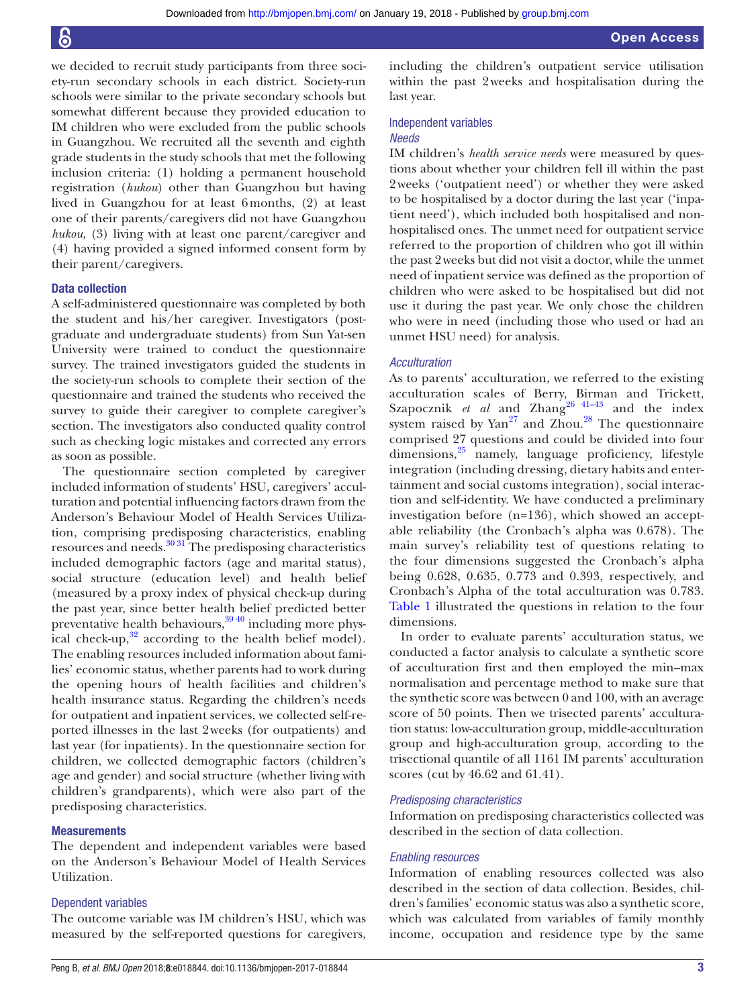we decided to recruit study participants from three society-run secondary schools in each district. Society-run schools were similar to the private secondary schools but somewhat different because they provided education to IM children who were excluded from the public schools in Guangzhou. We recruited all the seventh and eighth grade students in the study schools that met the following inclusion criteria: (1) holding a permanent household registration (*hukou*) other than Guangzhou but having lived in Guangzhou for at least 6months, (2) at least one of their parents/caregivers did not have Guangzhou *hukou*, (3) living with at least one parent/caregiver and (4) having provided a signed informed consent form by their parent/caregivers.

# Data collection

A self-administered questionnaire was completed by both the student and his/her caregiver. Investigators (postgraduate and undergraduate students) from Sun Yat-sen University were trained to conduct the questionnaire survey. The trained investigators guided the students in the society-run schools to complete their section of the questionnaire and trained the students who received the survey to guide their caregiver to complete caregiver's section. The investigators also conducted quality control such as checking logic mistakes and corrected any errors as soon as possible.

The questionnaire section completed by caregiver included information of students' HSU, caregivers' acculturation and potential influencing factors drawn from the Anderson's Behaviour Model of Health Services Utilization, comprising predisposing characteristics, enabling resources and needs.[30 31](#page-11-12) The predisposing characteristics included demographic factors (age and marital status), social structure (education level) and health belief (measured by a proxy index of physical check-up during the past year, since better health belief predicted better preventative health behaviours,  $\frac{3940}{9}$  including more physical check-up, $32$  according to the health belief model). The enabling resources included information about families' economic status, whether parents had to work during the opening hours of health facilities and children's health insurance status. Regarding the children's needs for outpatient and inpatient services, we collected self-reported illnesses in the last 2weeks (for outpatients) and last year (for inpatients). In the questionnaire section for children, we collected demographic factors (children's age and gender) and social structure (whether living with children's grandparents), which were also part of the predisposing characteristics.

#### **Measurements**

The dependent and independent variables were based on the Anderson's Behaviour Model of Health Services Utilization.

#### Dependent variables

The outcome variable was IM children's HSU, which was measured by the self-reported questions for caregivers, including the children's outpatient service utilisation within the past 2weeks and hospitalisation during the last year.

# Independent variables

# *Needs*

IM children's *health service needs* were measured by questions about whether your children fell ill within the past 2weeks ('outpatient need') or whether they were asked to be hospitalised by a doctor during the last year ('inpatient need'), which included both hospitalised and nonhospitalised ones. The unmet need for outpatient service referred to the proportion of children who got ill within the past 2weeks but did not visit a doctor, while the unmet need of inpatient service was defined as the proportion of children who were asked to be hospitalised but did not use it during the past year. We only chose the children who were in need (including those who used or had an unmet HSU need) for analysis.

# *Acculturation*

As to parents' acculturation, we referred to the existing acculturation scales of Berry, Birman and Trickett, Szapocznik *et al* and Zhang<sup>26 41–43</sup> and the index system raised by Yan<sup>[27](#page-11-9)</sup> and Zhou.<sup>28</sup> The questionnaire comprised 27 questions and could be divided into four dimensions,[25](#page-11-7) namely, language proficiency, lifestyle integration (including dressing, dietary habits and entertainment and social customs integration), social interaction and self-identity. We have conducted a preliminary investigation before (n=136), which showed an acceptable reliability (the Cronbach's alpha was 0.678). The main survey's reliability test of questions relating to the four dimensions suggested the Cronbach's alpha being 0.628, 0.635, 0.773 and 0.393, respectively, and Cronbach's Alpha of the total acculturation was 0.783. [Table](#page-3-0) 1 illustrated the questions in relation to the four dimensions.

In order to evaluate parents' acculturation status, we conducted a factor analysis to calculate a synthetic score of acculturation first and then employed the min–max normalisation and percentage method to make sure that the synthetic score was between 0 and 100, with an average score of 50 points. Then we trisected parents' acculturation status: low-acculturation group, middle-acculturation group and high-acculturation group, according to the trisectional quantile of all 1161 IM parents' acculturation scores (cut by 46.62 and 61.41).

#### *Predisposing characteristics*

Information on predisposing characteristics collected was described in the section of data collection.

#### *Enabling resources*

Information of enabling resources collected was also described in the section of data collection. Besides, children's families' economic status was also a synthetic score, which was calculated from variables of family monthly income, occupation and residence type by the same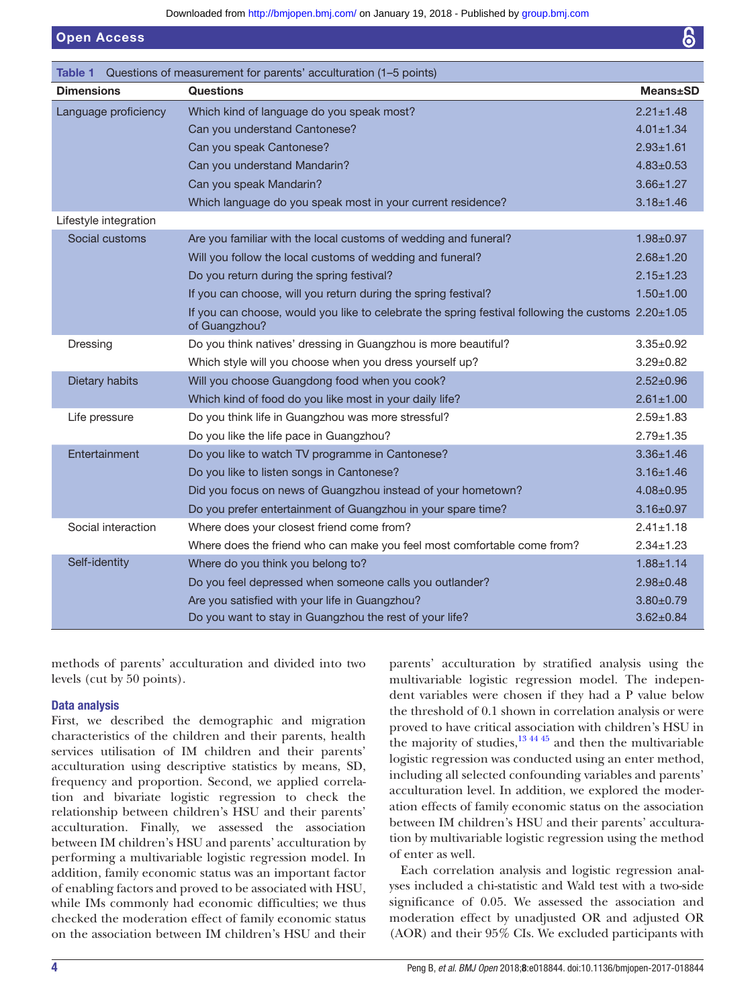<span id="page-3-0"></span>

| Table 1               | Questions of measurement for parents' acculturation (1-5 points)                                                    |                  |
|-----------------------|---------------------------------------------------------------------------------------------------------------------|------------------|
| <b>Dimensions</b>     | <b>Questions</b>                                                                                                    | <b>Means</b> ±SD |
| Language proficiency  | Which kind of language do you speak most?                                                                           | $2.21 \pm 1.48$  |
|                       | Can you understand Cantonese?                                                                                       | $4.01 \pm 1.34$  |
|                       | Can you speak Cantonese?                                                                                            | $2.93 + 1.61$    |
|                       | Can you understand Mandarin?                                                                                        | $4.83 \pm 0.53$  |
|                       | Can you speak Mandarin?                                                                                             | $3.66 \pm 1.27$  |
|                       | Which language do you speak most in your current residence?                                                         | $3.18 \pm 1.46$  |
| Lifestyle integration |                                                                                                                     |                  |
| Social customs        | Are you familiar with the local customs of wedding and funeral?                                                     | $1.98 + 0.97$    |
|                       | Will you follow the local customs of wedding and funeral?                                                           | $2.68 + 1.20$    |
|                       | Do you return during the spring festival?                                                                           | $2.15 \pm 1.23$  |
|                       | If you can choose, will you return during the spring festival?                                                      | $1.50 + 1.00$    |
|                       | If you can choose, would you like to celebrate the spring festival following the customs 2.20±1.05<br>of Guangzhou? |                  |
| Dressing              | Do you think natives' dressing in Guangzhou is more beautiful?                                                      | $3.35 \pm 0.92$  |
|                       | Which style will you choose when you dress yourself up?                                                             | $3.29 \pm 0.82$  |
| Dietary habits        | Will you choose Guangdong food when you cook?                                                                       | $2.52 \pm 0.96$  |
|                       | Which kind of food do you like most in your daily life?                                                             | $2.61 \pm 1.00$  |
| Life pressure         | Do you think life in Guangzhou was more stressful?                                                                  | $2.59 \pm 1.83$  |
|                       | Do you like the life pace in Guangzhou?                                                                             | $2.79 + 1.35$    |
| Entertainment         | Do you like to watch TV programme in Cantonese?                                                                     | $3.36 \pm 1.46$  |
|                       | Do you like to listen songs in Cantonese?                                                                           | $3.16 \pm 1.46$  |
|                       | Did you focus on news of Guangzhou instead of your hometown?                                                        | $4.08 \pm 0.95$  |
|                       | Do you prefer entertainment of Guangzhou in your spare time?                                                        | $3.16 \pm 0.97$  |
| Social interaction    | Where does your closest friend come from?                                                                           | $2.41 \pm 1.18$  |
|                       | Where does the friend who can make you feel most comfortable come from?                                             | $2.34 \pm 1.23$  |
| Self-identity         | Where do you think you belong to?                                                                                   | $1.88 \pm 1.14$  |
|                       | Do you feel depressed when someone calls you outlander?                                                             | $2.98 \pm 0.48$  |
|                       | Are you satisfied with your life in Guangzhou?                                                                      | $3.80 + 0.79$    |
|                       | Do you want to stay in Guangzhou the rest of your life?                                                             | $3.62 \pm 0.84$  |

methods of parents' acculturation and divided into two levels (cut by 50 points).

# Data analysis

Open Access

First, we described the demographic and migration characteristics of the children and their parents, health services utilisation of IM children and their parents' acculturation using descriptive statistics by means, SD, frequency and proportion. Second, we applied correlation and bivariate logistic regression to check the relationship between children's HSU and their parents' acculturation. Finally, we assessed the association between IM children's HSU and parents' acculturation by performing a multivariable logistic regression model. In addition, family economic status was an important factor of enabling factors and proved to be associated with HSU, while IMs commonly had economic difficulties; we thus checked the moderation effect of family economic status on the association between IM children's HSU and their

parents' acculturation by stratified analysis using the multivariable logistic regression model. The independent variables were chosen if they had a P value below the threshold of 0.1 shown in correlation analysis or were proved to have critical association with children's HSU in the majority of studies, $13 \times 44 \times 5$  and then the multivariable logistic regression was conducted using an enter method, including all selected confounding variables and parents' acculturation level. In addition, we explored the moderation effects of family economic status on the association between IM children's HSU and their parents' acculturation by multivariable logistic regression using the method of enter as well.

Each correlation analysis and logistic regression analyses included a chi-statistic and Wald test with a two-side significance of 0.05. We assessed the association and moderation effect by unadjusted OR and adjusted OR (AOR) and their 95% CIs. We excluded participants with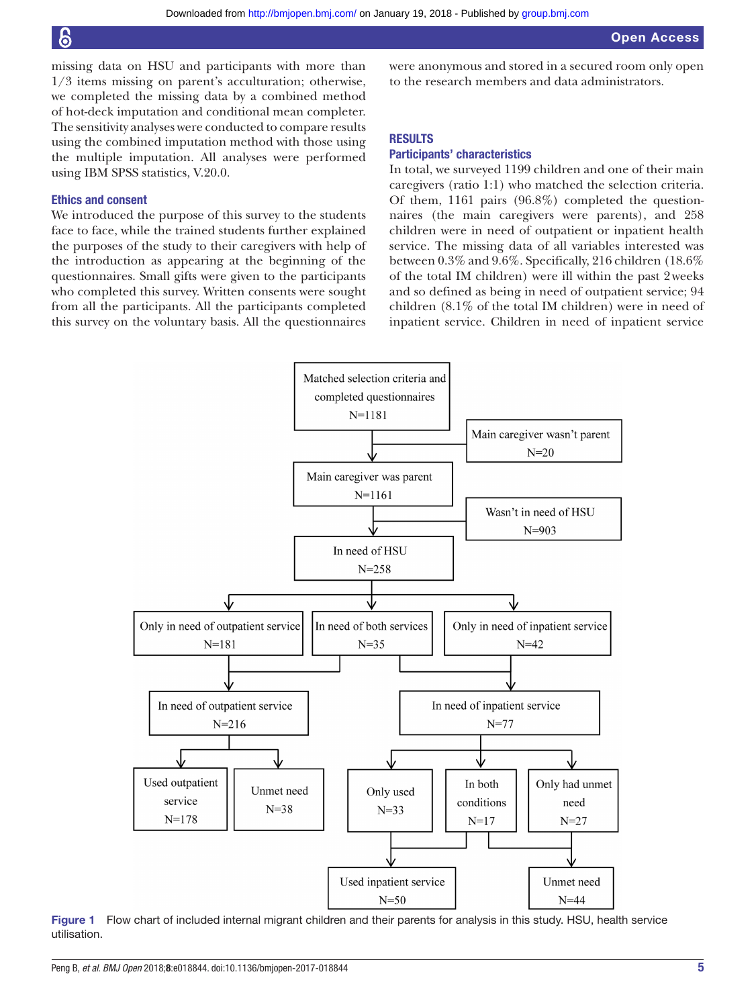missing data on HSU and participants with more than 1/3 items missing on parent's acculturation; otherwise, we completed the missing data by a combined method of hot-deck imputation and conditional mean completer. The sensitivity analyses were conducted to compare results using the combined imputation method with those using the multiple imputation. All analyses were performed using IBM SPSS statistics, V.20.0.

# Ethics and consent

We introduced the purpose of this survey to the students face to face, while the trained students further explained the purposes of the study to their caregivers with help of the introduction as appearing at the beginning of the questionnaires. Small gifts were given to the participants who completed this survey. Written consents were sought from all the participants. All the participants completed this survey on the voluntary basis. All the questionnaires

were anonymous and stored in a secured room only open to the research members and data administrators.

# **RESULTS**

#### Participants' characteristics

In total, we surveyed 1199 children and one of their main caregivers (ratio 1:1) who matched the selection criteria. Of them, 1161 pairs (96.8%) completed the questionnaires (the main caregivers were parents), and 258 children were in need of outpatient or inpatient health service. The missing data of all variables interested was between 0.3% and 9.6%. Specifically, 216 children (18.6% of the total IM children) were ill within the past 2weeks and so defined as being in need of outpatient service; 94 children (8.1% of the total IM children) were in need of inpatient service. Children in need of inpatient service



<span id="page-4-0"></span>Figure 1 Flow chart of included internal migrant children and their parents for analysis in this study. HSU, health service utilisation.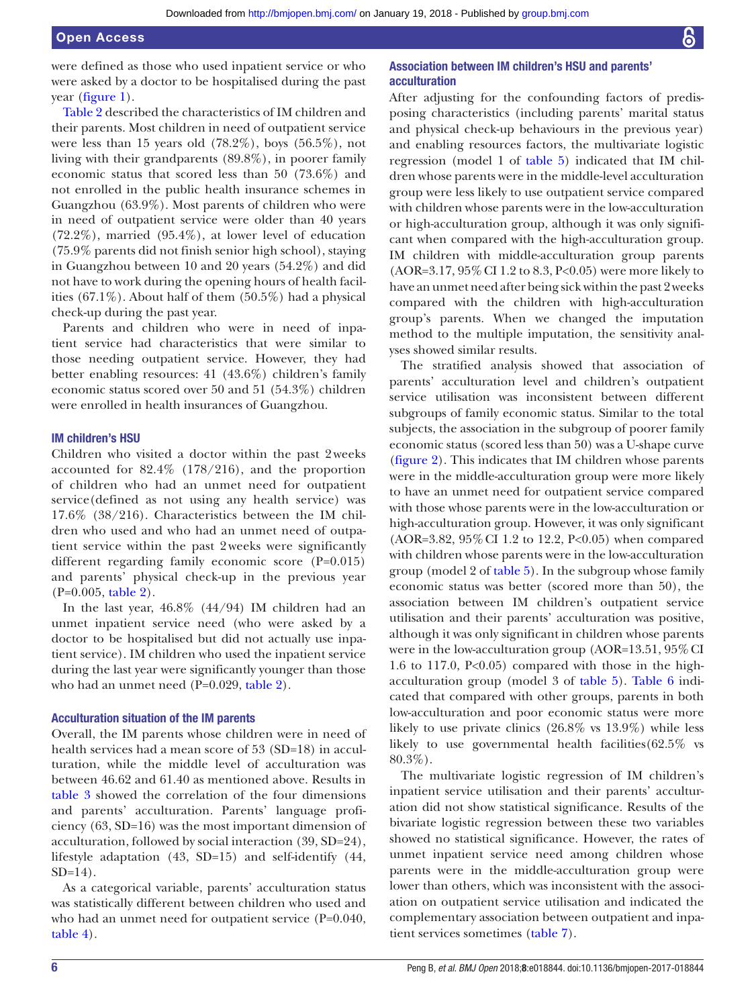were defined as those who used inpatient service or who were asked by a doctor to be hospitalised during the past year [\(figure](#page-4-0) 1).

[Table](#page-6-0) 2 described the characteristics of IM children and their parents. Most children in need of outpatient service were less than 15 years old  $(78.2\%)$ , boys  $(56.5\%)$ , not living with their grandparents (89.8%), in poorer family economic status that scored less than 50 (73.6%) and not enrolled in the public health insurance schemes in Guangzhou (63.9%). Most parents of children who were in need of outpatient service were older than 40 years (72.2%), married (95.4%), at lower level of education (75.9% parents did not finish senior high school), staying in Guangzhou between 10 and 20 years (54.2%) and did not have to work during the opening hours of health facilities (67.1%). About half of them (50.5%) had a physical check-up during the past year.

Parents and children who were in need of inpatient service had characteristics that were similar to those needing outpatient service. However, they had better enabling resources: 41 (43.6%) children's family economic status scored over 50 and 51 (54.3%) children were enrolled in health insurances of Guangzhou.

#### IM children's HSU

Children who visited a doctor within the past 2weeks accounted for 82.4% (178/216), and the proportion of children who had an unmet need for outpatient service(defined as not using any health service) was 17.6% (38/216). Characteristics between the IM children who used and who had an unmet need of outpatient service within the past 2weeks were significantly different regarding family economic score (P=0.015) and parents' physical check-up in the previous year (P=0.005, [table](#page-6-0) 2).

In the last year, 46.8% (44/94) IM children had an unmet inpatient service need (who were asked by a doctor to be hospitalised but did not actually use inpatient service). IM children who used the inpatient service during the last year were significantly younger than those who had an unmet need (P=0.029, [table](#page-6-0) 2).

#### Acculturation situation of the IM parents

Overall, the IM parents whose children were in need of health services had a mean score of 53 (SD=18) in acculturation, while the middle level of acculturation was between 46.62 and 61.40 as mentioned above. Results in [table](#page-8-0) 3 showed the correlation of the four dimensions and parents' acculturation. Parents' language proficiency (63, SD=16) was the most important dimension of acculturation, followed by social interaction (39, SD=24), lifestyle adaptation (43, SD=15) and self-identify (44,  $SD=14$ ).

As a categorical variable, parents' acculturation status was statistically different between children who used and who had an unmet need for outpatient service (P=0.040, [table](#page-8-1) 4).

# Association between IM children's HSU and parents' acculturation

After adjusting for the confounding factors of predisposing characteristics (including parents' marital status and physical check-up behaviours in the previous year) and enabling resources factors, the multivariate logistic regression (model 1 of [table](#page-9-0) 5) indicated that IM children whose parents were in the middle-level acculturation group were less likely to use outpatient service compared with children whose parents were in the low-acculturation or high-acculturation group, although it was only significant when compared with the high-acculturation group. IM children with middle-acculturation group parents (AOR=3.17, 95%CI 1.2 to 8.3, P<0.05) were more likely to have an unmet need after being sick within the past 2weeks compared with the children with high-acculturation group's parents. When we changed the imputation method to the multiple imputation, the sensitivity analyses showed similar results.

The stratified analysis showed that association of parents' acculturation level and children's outpatient service utilisation was inconsistent between different subgroups of family economic status. Similar to the total subjects, the association in the subgroup of poorer family economic status (scored less than 50) was a U-shape curve [\(figure](#page-9-1) 2). This indicates that IM children whose parents were in the middle-acculturation group were more likely to have an unmet need for outpatient service compared with those whose parents were in the low-acculturation or high-acculturation group. However, it was only significant (AOR=3.82, 95%CI 1.2 to 12.2, P<0.05) when compared with children whose parents were in the low-acculturation group (model 2 of [table](#page-9-0) 5). In the subgroup whose family economic status was better (scored more than 50), the association between IM children's outpatient service utilisation and their parents' acculturation was positive, although it was only significant in children whose parents were in the low-acculturation group (AOR=13.51, 95% CI 1.6 to 117.0,  $P<0.05$  compared with those in the highacculturation group (model 3 of [table](#page-9-0) 5). [Table](#page-9-2) 6 indicated that compared with other groups, parents in both low-acculturation and poor economic status were more likely to use private clinics (26.8% vs 13.9%) while less likely to use governmental health facilities(62.5% vs 80.3%).

The multivariate logistic regression of IM children's inpatient service utilisation and their parents' acculturation did not show statistical significance. Results of the bivariate logistic regression between these two variables showed no statistical significance. However, the rates of unmet inpatient service need among children whose parents were in the middle-acculturation group were lower than others, which was inconsistent with the association on outpatient service utilisation and indicated the complementary association between outpatient and inpatient services sometimes [\(table](#page-10-10) 7).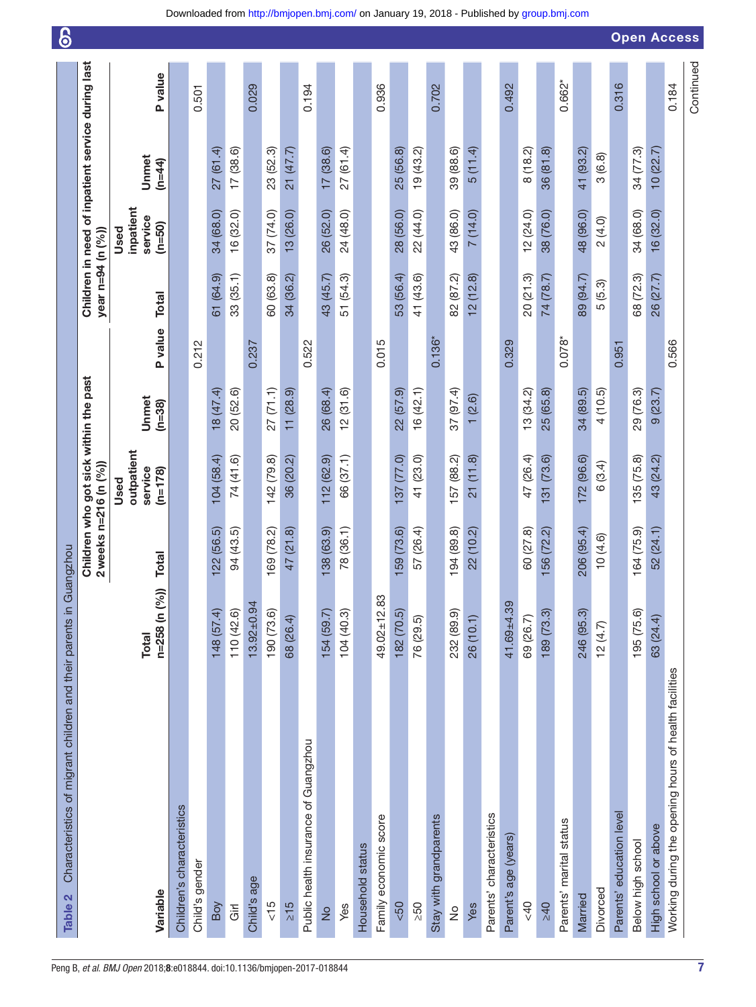<span id="page-6-0"></span>

| Characteristics of migrant children and their parents in<br>Table 2 |                               | Guangzhou                    |                                            |                   |          |                   |                                          |                                                   |           | 0                  |
|---------------------------------------------------------------------|-------------------------------|------------------------------|--------------------------------------------|-------------------|----------|-------------------|------------------------------------------|---------------------------------------------------|-----------|--------------------|
|                                                                     |                               | $2$ weeks n= $216$ (n $(%$ ) | Children who got sick within the past      |                   |          | year n=94 (n (%)) |                                          | Children in need of inpatient service during last |           |                    |
| Variable                                                            | n=258 (n (%))<br><b>Total</b> | <b>Total</b>                 | outpatient<br>service<br>$(n=178)$<br>Used | Unmet<br>$(n=38)$ | P value  | <b>Total</b>      | inpatient<br>service<br>$(n=50)$<br>Used | Unmet<br>$(n=44)$                                 | P value   |                    |
| Children's characteristics                                          |                               |                              |                                            |                   |          |                   |                                          |                                                   |           |                    |
| Child's gender                                                      |                               |                              |                                            |                   | 0.212    |                   |                                          |                                                   | 0.501     |                    |
| Boy                                                                 | 148 (57.4)                    | 122 (56.5)                   | 104(58.4)                                  | 18 (47.4)         |          | 61 (64.9)         | 34 (68.0)                                | 27(61.4)                                          |           |                    |
| Girl                                                                | 110 (42.6)                    | 94 (43.5)                    | 74 (41.6)                                  | 20 (52.6)         |          | 33(35.1)          | 16 (32.0)                                | 17(38.6)                                          |           |                    |
| Child's age                                                         | $13.92 \pm 0.94$              |                              |                                            |                   | 0.237    |                   |                                          |                                                   | 0.029     |                    |
| $rac{15}{5}$                                                        | 190 (73.6)                    | 169 (78.2)                   | 142 (79.8)                                 | 27(71.1)          |          | 60 (63.8)         | 37 (74.0)                                | 23 (52.3)                                         |           |                    |
| $\geq 15$                                                           | 68 (26.4)                     | 47 (21.8)                    | 36 (20.2)                                  | 11(28.9)          |          | 34 (36.2)         | 13 (26.0)                                | 21 (47.7)                                         |           |                    |
| Public health insurance of Guangzhou                                |                               |                              |                                            |                   | 0.522    |                   |                                          |                                                   | 0.194     |                    |
| $\frac{1}{2}$                                                       | 154 (59.7)                    | 138 (63.9)                   | 112 (62.9)                                 | 26 (68.4)         |          | 43 (45.7)         | 26 (52.0)                                | 17(38.6)                                          |           |                    |
| Yes                                                                 | 104 (40.3)                    | 78 (36.1)                    | 66 (37.1)                                  | 12(31.6)          |          | 51 (54.3)         | 24 (48.0)                                | 27(61.4)                                          |           |                    |
| Household status                                                    |                               |                              |                                            |                   |          |                   |                                          |                                                   |           |                    |
| Family economic score                                               | ო<br>$49.02 \pm 12.8$         |                              |                                            |                   | 0.015    |                   |                                          |                                                   | 0.936     |                    |
| $&50$                                                               | 182 (70.5)                    | 159 (73.6)                   | 137 (77.0)                                 | 22(57.9)          |          | 53 (56.4)         | 28 (56.0)                                | 25 (56.8)                                         |           |                    |
| 250                                                                 | 76 (29.5)                     | 57 (26.4)                    | 41 (23.0)                                  | 16(42.1)          |          | 41 (43.6)         | 22 (44.0)                                | 19(43.2)                                          |           |                    |
| Stay with grandparents                                              |                               |                              |                                            |                   | $0.136*$ |                   |                                          |                                                   | 0.702     |                    |
| $\stackrel{\circ}{\simeq}$                                          | 232 (89.9)                    | 194(89.8)                    | 157 (88.2)                                 | 37 (97.4)         |          | 82 (87.2)         | 43 (86.0)                                | 39 (88.6)                                         |           |                    |
| Yes                                                                 | 26 (10.1)                     | 22 (10.2)                    | 21(11.8)                                   | (2.6)<br>↽        |          | 12(12.8)          | 7(14.0)                                  | 5(11.4)                                           |           |                    |
| Parents' characteristics                                            |                               |                              |                                            |                   |          |                   |                                          |                                                   |           |                    |
| Parent's age (years)                                                | $41.69 + 4.39$                |                              |                                            |                   | 0.329    |                   |                                          |                                                   | 0.492     |                    |
| 40                                                                  | 69 (26.7)                     | 60 (27.8)                    | 47 (26.4)                                  | 13(34.2)          |          | 20(21.3)          | 12(24.0)                                 | 8(18.2)                                           |           |                    |
| 240                                                                 | 189 (73.3)                    | 156 (72.2)                   | 131 (73.6)                                 | 25 (65.8)         |          | 74 (78.7)         | 38 (76.0)                                | 36(81.8)                                          |           |                    |
| Parents' marital status                                             |                               |                              |                                            |                   | $0.078*$ |                   |                                          |                                                   | $0.662*$  |                    |
| Married                                                             | 246 (95.3)                    | 206 (95.4)                   | 172 (96.6)                                 | 34 (89.5)         |          | 89 (94.7)         | 48 (96.0)                                | 41 (93.2)                                         |           |                    |
| Divorced                                                            | 12(4.7)                       | 10(4.6)                      | (3.4)<br>$\circ$                           | 4 (10.5)          |          | 5(5.3)            | 2(4.0)                                   | 3(6.8)                                            |           |                    |
| Parents' education level                                            |                               |                              |                                            |                   | 0.951    |                   |                                          |                                                   | 0.316     |                    |
| Below high school                                                   | 195 (75.6)                    | 164 (75.9)                   | 135 (75.8)                                 | 29 (76.3)         |          | 68 (72.3)         | 34 (68.0)                                | 34 (77.3)                                         |           |                    |
| High school or above                                                | 63 (24.4)                     | 52 (24.1)                    | 43 (24.2)                                  | 9(23.7)           |          | 26 (27.7)         | 16(32.0)                                 | 10(22.7)                                          |           |                    |
| Working during the opening hours of health facilities               |                               |                              |                                            |                   | 0.566    |                   |                                          |                                                   | 0.184     | <b>Open Access</b> |
|                                                                     |                               |                              |                                            |                   |          |                   |                                          |                                                   | Continued |                    |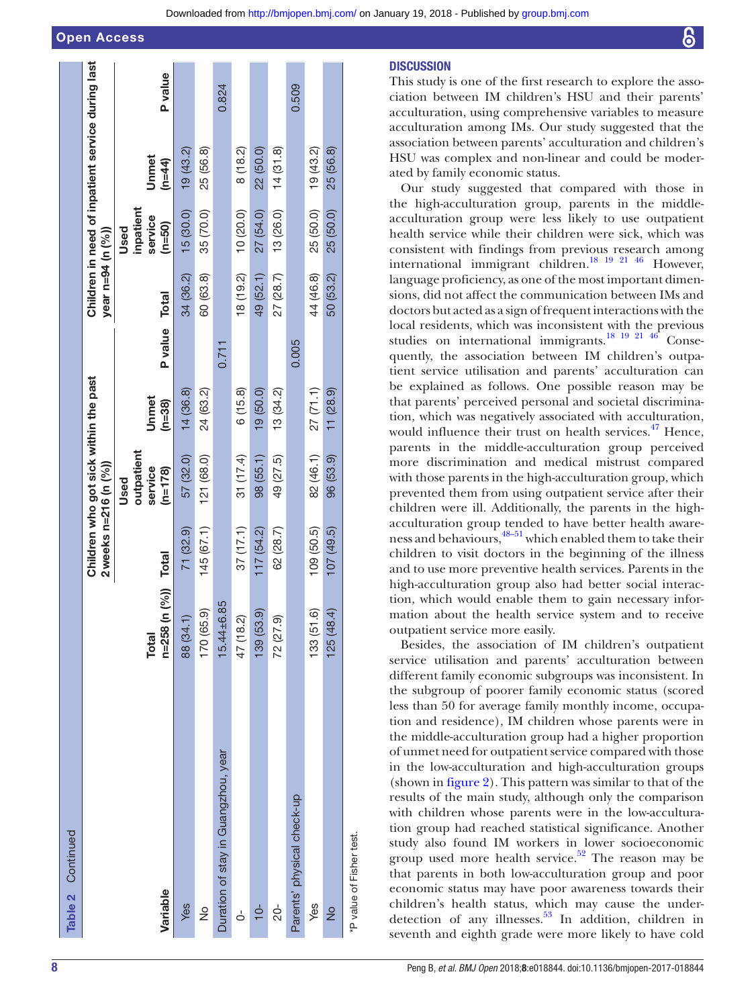Open Access

| Table 2 Continued                   |                                     |                       |                                       |                   |               |                   |                     |                                                   |         |
|-------------------------------------|-------------------------------------|-----------------------|---------------------------------------|-------------------|---------------|-------------------|---------------------|---------------------------------------------------|---------|
|                                     |                                     | 2 weeks n=216 (n (%)) | Children who got sick within the past |                   |               | year n=94 (n (%)) |                     | Children in need of inpatient service during last |         |
|                                     |                                     |                       | outpatient<br>Used                    |                   |               |                   | inpatient<br>Used   |                                                   |         |
| Variable                            | n=258 (n (%)) Total<br><b>Total</b> |                       | service<br>$(n=178)$                  | Unmet<br>$(n=38)$ | P value Total |                   | service<br>$(n=50)$ | Unnnet<br>$(n=44)$                                | P value |
| Yes                                 | 88 (34.1)                           | 71 (32.9)             | 57 (32.0)                             | 14(36.8)          |               | 34 (36.2)         | 15(30.0)            | 19(43.2)                                          |         |
| $\frac{1}{2}$                       | 170 (65.9)                          | 145(67.1)             | 121 (68.0)                            | 24 (63.2)         |               | 60 (63.8)         | 35 (70.0)           | 25 (56.8)                                         |         |
| Duration of stay in Guangzhou, year | $15.44 \pm 6.85$                    |                       |                                       |                   | 0.711         |                   |                     |                                                   | 0.824   |
| é                                   | 47 (18.2)                           | 37(17.1)              | 31 (17.4)                             | 6(15.8)           |               | 18 (19.2)         | 10 (20.0)           | 8(18.2)                                           |         |
| $10-$                               | 139 (53.9)                          | 117(54.2)             | 98 (55.1)                             | 19 (50.0)         |               | 49 (52.1)         | 27 (54.0)           | 22 (50.0)                                         |         |
| 20-                                 | 72 (27.9)                           | 62 (28.7)             | 49 (27.5)                             | 13(34.2)          |               | 27 (28.7)         | 13 (26.0)           | 14(31.8)                                          |         |
| Parents' physical check-up          |                                     |                       |                                       |                   | 0.005         |                   |                     |                                                   | 0.509   |
| Yes                                 | 133 (51.6)                          | 109 (50.5)            | 82 (46.1)                             | 27(71.1)          |               | 44 (46.8)         | 25 (50.0)           | 19(43.2)                                          |         |
| $\frac{1}{2}$                       | 125(48.4)                           | 107(49.5)             | 96 (53.9)                             | 11(28.9)          |               | 50 (53.2)         | 25 (50.0)           | 25 (56.8)                                         |         |
| *P value of Fisher test.            |                                     |                       |                                       |                   |               |                   |                     |                                                   |         |

# **DISCUSSION**

This study is one of the first research to explore the association between IM children's HSU and their parents' acculturation, using comprehensive variables to measure acculturation among IMs. Our study suggested that the association between parents' acculturation and children's HSU was complex and non-linear and could be moderated by family economic status.

Our study suggested that compared with those in the high-acculturation group, parents in the middleacculturation group were less likely to use outpatient health service while their children were sick, which was consistent with findings from previous research among international immigrant children.<sup>[18 19 21 46](#page-11-2)</sup> However, language proficiency, as one of the most important dimensions, did not affect the communication between IMs and doctors but acted as a sign of frequent interactions with the local residents, which was inconsistent with the previous studies on international immigrants.<sup>18</sup> <sup>19</sup> <sup>21</sup> <sup>46</sup> Consequently, the association between IM children's outpatient service utilisation and parents' acculturation can be explained as follows. One possible reason may be that parents' perceived personal and societal discrimination, which was negatively associated with acculturation, would influence their trust on health services. $47$  Hence, parents in the middle-acculturation group perceived more discrimination and medical mistrust compared with those parents in the high-acculturation group, which prevented them from using outpatient service after their children were ill. Additionally, the parents in the highacculturation group tended to have better health awareness and behaviours, $48-51$  which enabled them to take their children to visit doctors in the beginning of the illness and to use more preventive health services. Parents in the high-acculturation group also had better social interaction, which would enable them to gain necessary information about the health service system and to receive outpatient service more easily.

Besides, the association of IM children's outpatient service utilisation and parents' acculturation between different family economic subgroups was inconsistent. In the subgroup of poorer family economic status (scored less than 50 for average family monthly income, occupation and residence), IM children whose parents were in the middle-acculturation group had a higher proportion of unmet need for outpatient service compared with those in the low-acculturation and high-acculturation groups (shown in [figure](#page-9-1) 2). This pattern was similar to that of the results of the main study, although only the comparison with children whose parents were in the low-acculturation group had reached statistical significance. Another study also found IM workers in lower socioeconomic group used more health service.<sup>52</sup> The reason may be that parents in both low-acculturation group and poor economic status may have poor awareness towards their children's health status, which may cause the under-detection of any illnesses.<sup>[53](#page-11-23)</sup> In addition, children in seventh and eighth grade were more likely to have cold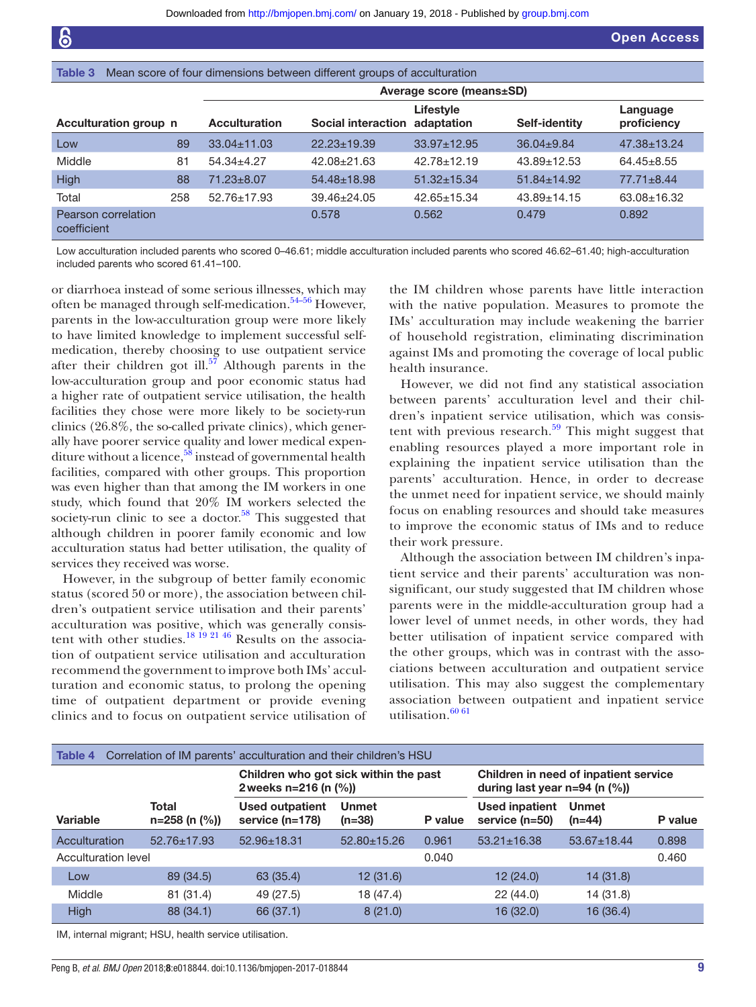<span id="page-8-0"></span>

| Table 3                            |     |                      | Mean score of four dimensions between different groups of acculturation |                          |                   |                         |
|------------------------------------|-----|----------------------|-------------------------------------------------------------------------|--------------------------|-------------------|-------------------------|
|                                    |     |                      |                                                                         | Average score (means±SD) |                   |                         |
| Acculturation group n              |     | <b>Acculturation</b> | Social interaction adaptation                                           | Lifestyle                | Self-identity     | Language<br>proficiency |
| Low                                | 89  | $33.04 \pm 11.03$    | $22.23 \pm 19.39$                                                       | $33.97 \pm 12.95$        | $36.04 \pm 9.84$  | $47.38 \pm 13.24$       |
| Middle                             | 81  | $54.34 + 4.27$       | $42.08 + 21.63$                                                         | $42.78 \pm 12.19$        | $43.89 + 12.53$   | $64.45 \pm 8.55$        |
| High                               | 88  | $71.23 \pm 8.07$     | $54.48 \pm 18.98$                                                       | $51.32 \pm 15.34$        | $51.84 \pm 14.92$ | $77.71 \pm 8.44$        |
| Total                              | 258 | $52.76 \pm 17.93$    | $39.46 \pm 24.05$                                                       | $42.65 \pm 15.34$        | $43.89 \pm 14.15$ | 63.08±16.32             |
| Pearson correlation<br>coefficient |     |                      | 0.578                                                                   | 0.562                    | 0.479             | 0.892                   |

Low acculturation included parents who scored 0–46.61; middle acculturation included parents who scored 46.62–61.40; high-acculturation included parents who scored 61.41–100.

or diarrhoea instead of some serious illnesses, which may often be managed through self-medication.<sup>54-56</sup> However, parents in the low-acculturation group were more likely to have limited knowledge to implement successful selfmedication, thereby choosing to use outpatient service after their children got ill. $57$  Although parents in the low-acculturation group and poor economic status had a higher rate of outpatient service utilisation, the health facilities they chose were more likely to be society-run clinics (26.8%, the so-called private clinics), which generally have poorer service quality and lower medical expenditure without a licence,<sup>58</sup> instead of governmental health facilities, compared with other groups. This proportion was even higher than that among the IM workers in one study, which found that 20% IM workers selected the society-run clinic to see a doctor.<sup>58</sup> This suggested that although children in poorer family economic and low acculturation status had better utilisation, the quality of services they received was worse.

However, in the subgroup of better family economic status (scored 50 or more), the association between children's outpatient service utilisation and their parents' acculturation was positive, which was generally consis-tent with other studies.<sup>[18 19 21 46](#page-11-2)</sup> Results on the association of outpatient service utilisation and acculturation recommend the government to improve both IMs' acculturation and economic status, to prolong the opening time of outpatient department or provide evening clinics and to focus on outpatient service utilisation of

the IM children whose parents have little interaction with the native population. Measures to promote the IMs' acculturation may include weakening the barrier of household registration, eliminating discrimination against IMs and promoting the coverage of local public health insurance.

However, we did not find any statistical association between parents' acculturation level and their children's inpatient service utilisation, which was consistent with previous research. $59$  This might suggest that enabling resources played a more important role in explaining the inpatient service utilisation than the parents' acculturation. Hence, in order to decrease the unmet need for inpatient service, we should mainly focus on enabling resources and should take measures to improve the economic status of IMs and to reduce their work pressure.

Although the association between IM children's inpatient service and their parents' acculturation was nonsignificant, our study suggested that IM children whose parents were in the middle-acculturation group had a lower level of unmet needs, in other words, they had better utilisation of inpatient service compared with the other groups, which was in contrast with the associations between acculturation and outpatient service utilisation. This may also suggest the complementary association between outpatient and inpatient service utilisation.<sup>[60 61](#page-11-28)</sup>

<span id="page-8-1"></span>

| Table 4             |                                     | Correlation of IM parents' acculturation and their children's HSU |                          |         |                                                                              |                          |         |
|---------------------|-------------------------------------|-------------------------------------------------------------------|--------------------------|---------|------------------------------------------------------------------------------|--------------------------|---------|
|                     |                                     | Children who got sick within the past<br>2 weeks n=216 (n (%))    |                          |         | Children in need of inpatient service<br>during last year $n=94$ (n $(\%)$ ) |                          |         |
| Variable            | <b>Total</b><br>$n=258$ (n $(\%)$ ) | <b>Used outpatient</b><br>service $(n=178)$                       | <b>Unmet</b><br>$(n=38)$ | P value | <b>Used inpatient</b><br>service (n=50)                                      | <b>Unmet</b><br>$(n=44)$ | P value |
| Acculturation       | $52.76 \pm 17.93$                   | $52.96 \pm 18.31$                                                 | $52.80 \pm 15.26$        | 0.961   | $53.21 \pm 16.38$                                                            | $53.67 \pm 18.44$        | 0.898   |
| Acculturation level |                                     |                                                                   |                          | 0.040   |                                                                              |                          | 0.460   |
| Low                 | 89 (34.5)                           | 63 (35.4)                                                         | 12(31.6)                 |         | 12 (24.0)                                                                    | 14(31.8)                 |         |
| Middle              | 81 (31.4)                           | 49 (27.5)                                                         | 18 (47.4)                |         | 22(44.0)                                                                     | 14 (31.8)                |         |
| High                | 88 (34.1)                           | 66 (37.1)                                                         | 8(21.0)                  |         | 16 (32.0)                                                                    | 16 (36.4)                |         |

IM, internal migrant; HSU, health service utilisation.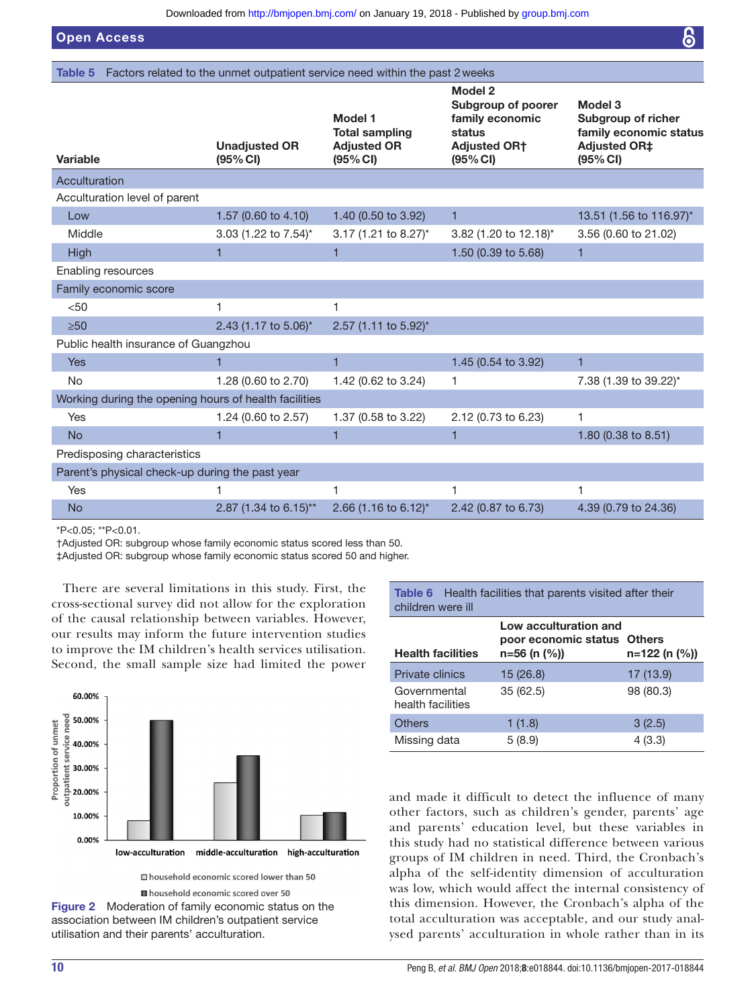Open Access

<span id="page-9-0"></span>

|  |  |  | <b>Table 5</b> Factors related to the unmet outpatient service need within the past 2 weeks |  |  |
|--|--|--|---------------------------------------------------------------------------------------------|--|--|
|--|--|--|---------------------------------------------------------------------------------------------|--|--|

| Variable                                              | <b>Unadjusted OR</b><br>(95% CI) | <b>Model 1</b><br><b>Total sampling</b><br><b>Adjusted OR</b><br>(95% CI) | <b>Model 2</b><br>Subgroup of poorer<br>family economic<br>status<br><b>Adjusted OR†</b><br>(95% CI) | Model 3<br>Subgroup of richer<br>family economic status<br><b>Adjusted OR‡</b><br>(95% CI) |
|-------------------------------------------------------|----------------------------------|---------------------------------------------------------------------------|------------------------------------------------------------------------------------------------------|--------------------------------------------------------------------------------------------|
| Acculturation                                         |                                  |                                                                           |                                                                                                      |                                                                                            |
| Acculturation level of parent                         |                                  |                                                                           |                                                                                                      |                                                                                            |
| Low                                                   | 1.57 (0.60 to 4.10)              | 1.40 (0.50 to 3.92)                                                       | 1                                                                                                    | 13.51 (1.56 to 116.97)*                                                                    |
| Middle                                                | 3.03 (1.22 to 7.54)*             | 3.17 (1.21 to 8.27)*                                                      | 3.82 (1.20 to 12.18)*                                                                                | 3.56 (0.60 to 21.02)                                                                       |
| High                                                  | 1                                | 1                                                                         | 1.50 (0.39 to 5.68)                                                                                  | 1                                                                                          |
| Enabling resources                                    |                                  |                                                                           |                                                                                                      |                                                                                            |
| Family economic score                                 |                                  |                                                                           |                                                                                                      |                                                                                            |
| < 50                                                  | 1                                | 1                                                                         |                                                                                                      |                                                                                            |
| $\geq 50$                                             | 2.43 (1.17 to 5.06)*             | 2.57 (1.11 to 5.92)*                                                      |                                                                                                      |                                                                                            |
| Public health insurance of Guangzhou                  |                                  |                                                                           |                                                                                                      |                                                                                            |
| <b>Yes</b>                                            |                                  | $\mathbf{1}$                                                              | 1.45 (0.54 to 3.92)                                                                                  | 1                                                                                          |
| <b>No</b>                                             | 1.28 (0.60 to 2.70)              | 1.42 (0.62 to 3.24)                                                       | 1                                                                                                    | 7.38 (1.39 to 39.22)*                                                                      |
| Working during the opening hours of health facilities |                                  |                                                                           |                                                                                                      |                                                                                            |
| Yes                                                   | 1.24 (0.60 to 2.57)              | 1.37 (0.58 to 3.22)                                                       | 2.12 (0.73 to 6.23)                                                                                  | 1                                                                                          |
| <b>No</b>                                             | 1                                | 1                                                                         | 1                                                                                                    | 1.80 (0.38 to 8.51)                                                                        |
| Predisposing characteristics                          |                                  |                                                                           |                                                                                                      |                                                                                            |
| Parent's physical check-up during the past year       |                                  |                                                                           |                                                                                                      |                                                                                            |
| Yes                                                   |                                  | 1                                                                         |                                                                                                      | 1                                                                                          |
| <b>No</b>                                             | 2.87 (1.34 to 6.15)**            | 2.66 (1.16 to 6.12)*                                                      | 2.42 (0.87 to 6.73)                                                                                  | 4.39 (0.79 to 24.36)                                                                       |

\*P<0.05; \*\*P<0.01.

†Adjusted OR: subgroup whose family economic status scored less than 50.

‡Adjusted OR: subgroup whose family economic status scored 50 and higher.

There are several limitations in this study. First, the cross-sectional survey did not allow for the exploration of the causal relationship between variables. However, our results may inform the future intervention studies to improve the IM children's health services utilisation. Second, the small sample size had limited the power



household economic scored over 50

<span id="page-9-1"></span>Figure 2 Moderation of family economic status on the association between IM children's outpatient service utilisation and their parents' acculturation.

<span id="page-9-2"></span>Table 6 Health facilities that parents visited after their children were ill

| <b>Health facilities</b>          | Low acculturation and<br>poor economic status Others<br>n=56 (n (%)) | $n=122$ (n $\left(\frac{9}{6}\right)$ ) |
|-----------------------------------|----------------------------------------------------------------------|-----------------------------------------|
| Private clinics                   | 15(26.8)                                                             | 17(13.9)                                |
| Governmental<br>health facilities | 35(62.5)                                                             | 98 (80.3)                               |
| <b>Others</b>                     | 1(1.8)                                                               | 3(2.5)                                  |
| Missing data                      | 5(8.9)                                                               | 4(3.3)                                  |

and made it difficult to detect the influence of many other factors, such as children's gender, parents' age and parents' education level, but these variables in this study had no statistical difference between various groups of IM children in need. Third, the Cronbach's alpha of the self-identity dimension of acculturation was low, which would affect the internal consistency of this dimension. However, the Cronbach's alpha of the total acculturation was acceptable, and our study analysed parents' acculturation in whole rather than in its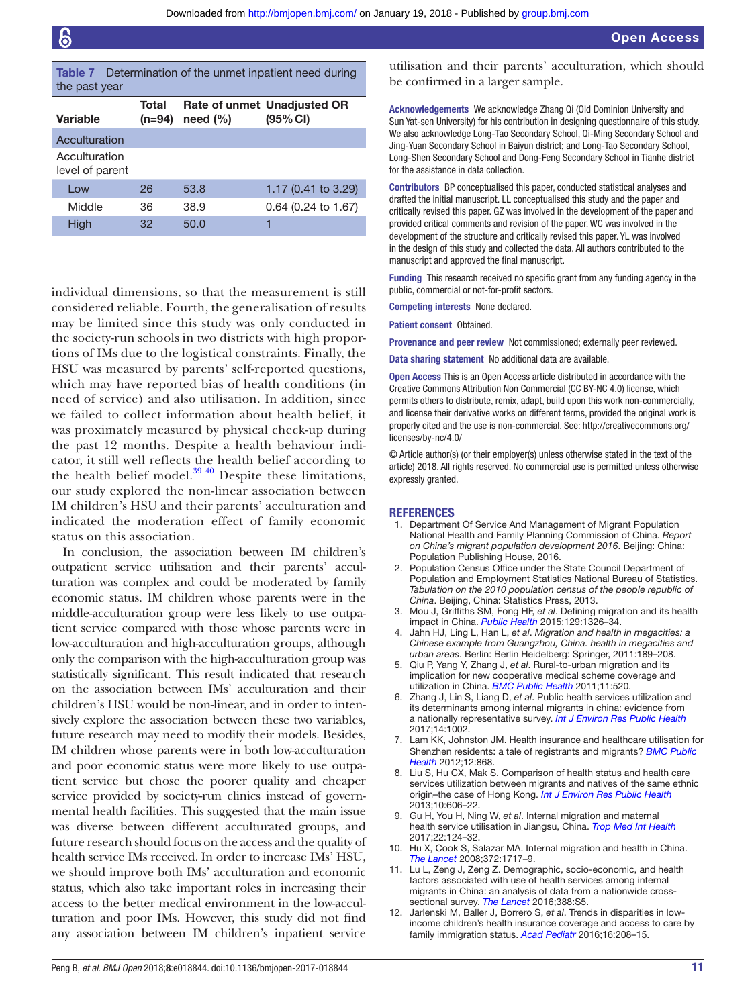<span id="page-10-10"></span>

|               | <b>Table 7</b> Determination of the unmet inpatient need during |
|---------------|-----------------------------------------------------------------|
| the past year |                                                                 |

| Variable                         | Total<br>(n=94) | need $(\% )$ | <b>Rate of unmet Unadjusted OR</b><br>(95% CI) |
|----------------------------------|-----------------|--------------|------------------------------------------------|
| Acculturation                    |                 |              |                                                |
| Acculturation<br>level of parent |                 |              |                                                |
| Low                              | 26              | 53.8         | 1.17 (0.41 to 3.29)                            |
| Middle                           | 36              | 38.9         | $0.64$ (0.24 to 1.67)                          |
| High                             | 32              | 50.0         |                                                |

individual dimensions, so that the measurement is still considered reliable. Fourth, the generalisation of results may be limited since this study was only conducted in the society-run schools in two districts with high proportions of IMs due to the logistical constraints. Finally, the HSU was measured by parents' self-reported questions, which may have reported bias of health conditions (in need of service) and also utilisation. In addition, since we failed to collect information about health belief, it was proximately measured by physical check-up during the past 12 months. Despite a health behaviour indicator, it still well reflects the health belief according to the health belief model. $3940$  Despite these limitations, our study explored the non-linear association between IM children's HSU and their parents' acculturation and indicated the moderation effect of family economic status on this association.

In conclusion, the association between IM children's outpatient service utilisation and their parents' acculturation was complex and could be moderated by family economic status. IM children whose parents were in the middle-acculturation group were less likely to use outpatient service compared with those whose parents were in low-acculturation and high-acculturation groups, although only the comparison with the high-acculturation group was statistically significant. This result indicated that research on the association between IMs' acculturation and their children's HSU would be non-linear, and in order to intensively explore the association between these two variables, future research may need to modify their models. Besides, IM children whose parents were in both low-acculturation and poor economic status were more likely to use outpatient service but chose the poorer quality and cheaper service provided by society-run clinics instead of governmental health facilities. This suggested that the main issue was diverse between different acculturated groups, and future research should focus on the access and the quality of health service IMs received. In order to increase IMs' HSU, we should improve both IMs' acculturation and economic status, which also take important roles in increasing their access to the better medical environment in the low-acculturation and poor IMs. However, this study did not find any association between IM children's inpatient service utilisation and their parents' acculturation, which should be confirmed in a larger sample.

Acknowledgements We acknowledge Zhang Qi (Old Dominion University and Sun Yat-sen University) for his contribution in designing questionnaire of this study. We also acknowledge Long-Tao Secondary School, Qi-Ming Secondary School and Jing-Yuan Secondary School in Baiyun district; and Long-Tao Secondary School, Long-Shen Secondary School and Dong-Feng Secondary School in Tianhe district for the assistance in data collection.

Contributors BP conceptualised this paper, conducted statistical analyses and drafted the initial manuscript. LL conceptualised this study and the paper and critically revised this paper. GZ was involved in the development of the paper and provided critical comments and revision of the paper. WC was involved in the development of the structure and critically revised this paper. YL was involved in the design of this study and collected the data. All authors contributed to the manuscript and approved the final manuscript.

Funding This research received no specific grant from any funding agency in the public, commercial or not-for-profit sectors.

Competing interests None declared.

Patient consent Obtained.

Provenance and peer review Not commissioned; externally peer reviewed.

Data sharing statement No additional data are available.

Open Access This is an Open Access article distributed in accordance with the Creative Commons Attribution Non Commercial (CC BY-NC 4.0) license, which permits others to distribute, remix, adapt, build upon this work non-commercially, and license their derivative works on different terms, provided the original work is properly cited and the use is non-commercial. See: [http://creativecommons.org/](http://creativecommons.org/licenses/by-nc/4.0/) [licenses/by-nc/4.0/](http://creativecommons.org/licenses/by-nc/4.0/)

© Article author(s) (or their employer(s) unless otherwise stated in the text of the article) 2018. All rights reserved. No commercial use is permitted unless otherwise expressly granted.

#### **REFERENCES**

- <span id="page-10-0"></span>1. Department Of Service And Management of Migrant Population National Health and Family Planning Commission of China. *Report on China's migrant population development 2016*. Beijing: China: Population Publishing House, 2016.
- <span id="page-10-1"></span>2. Population Census Office under the State Council Department of Population and Employment Statistics National Bureau of Statistics. *Tabulation on the 2010 population census of the people republic of China*. Beijing, China: Statistics Press, 2013.
- <span id="page-10-2"></span>3. Mou J, Griffiths SM, Fong HF, *et al*. Defining migration and its health impact in China. *[Public Health](http://dx.doi.org/10.1016/j.puhe.2014.01.010)* 2015;129:1326–34.
- <span id="page-10-3"></span>4. Jahn HJ, Ling L, Han L, *et al*. *Migration and health in megacities: a Chinese example from Guangzhou, China. health in megacities and urban areas*. Berlin: Berlin Heidelberg: Springer, 2011:189–208.
- <span id="page-10-4"></span>5. Qiu P, Yang Y, Zhang J, *et al*. Rural-to-urban migration and its implication for new cooperative medical scheme coverage and utilization in China. *[BMC Public Health](http://dx.doi.org/10.1186/1471-2458-11-520)* 2011;11:520.
- <span id="page-10-5"></span>6. Zhang J, Lin S, Liang D, *et al*. Public health services utilization and its determinants among internal migrants in china: evidence from a nationally representative survey. *[Int J Environ Res Public Health](http://dx.doi.org/10.3390/ijerph14091002)* 2017;14:1002.
- <span id="page-10-6"></span>7. Lam KK, Johnston JM. Health insurance and healthcare utilisation for Shenzhen residents: a tale of registrants and migrants? *[BMC Public](http://dx.doi.org/10.1186/1471-2458-12-868)  [Health](http://dx.doi.org/10.1186/1471-2458-12-868)* 2012;12:868.
- 8. Liu S, Hu CX, Mak S. Comparison of health status and health care services utilization between migrants and natives of the same ethnic origin–the case of Hong Kong. *[Int J Environ Res Public Health](http://dx.doi.org/10.3390/ijerph10020606)* 2013;10:606–22.
- <span id="page-10-7"></span>9. Gu H, You H, Ning W, *et al*. Internal migration and maternal health service utilisation in Jiangsu, China. *[Trop Med Int Health](http://dx.doi.org/10.1111/tmi.12806)* 2017;22:124–32.
- 10. Hu X, Cook S, Salazar MA. Internal migration and health in China. *[The Lancet](http://dx.doi.org/10.1016/S0140-6736(08)61360-4)* 2008;372:1717–9.
- <span id="page-10-8"></span>11. Lu L, Zeng J, Zeng Z. Demographic, socio-economic, and health factors associated with use of health services among internal migrants in China: an analysis of data from a nationwide crosssectional survey. *[The Lancet](http://dx.doi.org/10.1016/S0140-6736(16)31932-8)* 2016;388:S5.
- <span id="page-10-9"></span>12. Jarlenski M, Baller J, Borrero S, *et al*. Trends in disparities in lowincome children's health insurance coverage and access to care by family immigration status. *[Acad Pediatr](http://dx.doi.org/10.1016/j.acap.2015.07.008)* 2016;16:208–15.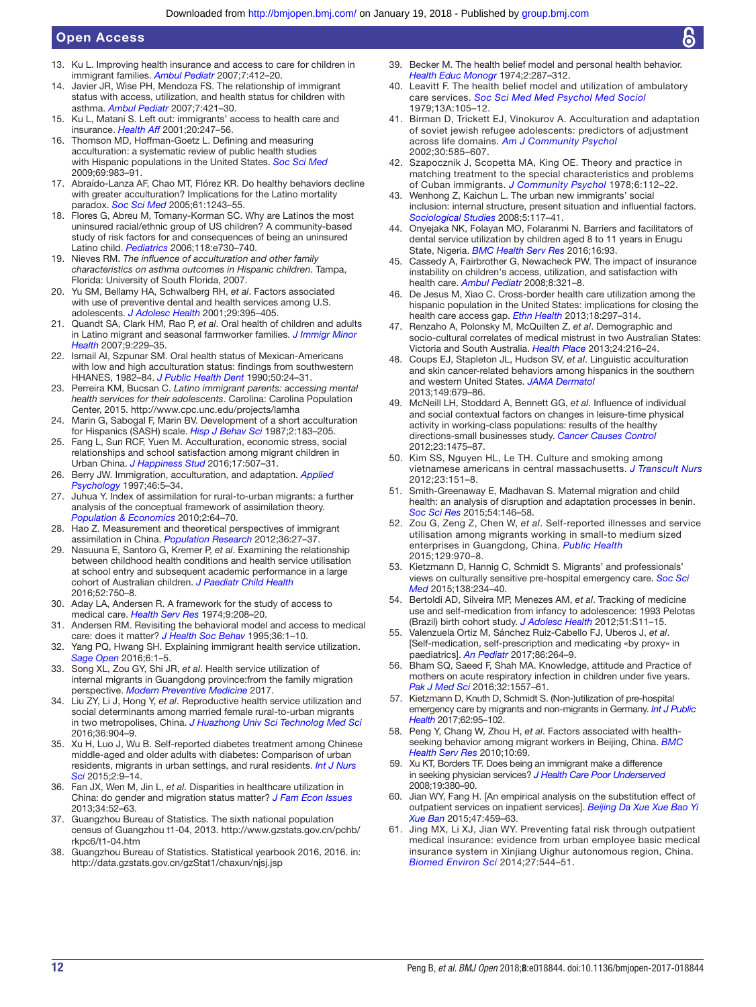- <span id="page-11-19"></span>13. Ku L. Improving health insurance and access to care for children in immigrant families. *[Ambul Pediatr](http://dx.doi.org/10.1016/j.ambp.2007.08.002)* 2007;7:412–20.
- 14. Javier JR, Wise PH, Mendoza FS. The relationship of immigrant status with access, utilization, and health status for children with asthma. *[Ambul Pediatr](http://dx.doi.org/10.1016/j.ambp.2007.06.004)* 2007;7:421–30.
- <span id="page-11-0"></span>15. Ku L, Matani S. Left out: immigrants' access to health care and insurance. *[Health Aff](http://dx.doi.org/10.1377/hlthaff.20.1.247)* 2001;20:247–56.
- <span id="page-11-1"></span>16. Thomson MD, Hoffman-Goetz L. Defining and measuring acculturation: a systematic review of public health studies with Hispanic populations in the United States. *[Soc Sci Med](http://dx.doi.org/10.1016/j.socscimed.2009.05.011)* 2009;69:983–91.
- 17. Abraído-Lanza AF, Chao MT, Flórez KR. Do healthy behaviors decline with greater acculturation? Implications for the Latino mortality paradox. *[Soc Sci Med](http://dx.doi.org/10.1016/j.socscimed.2005.01.016)* 2005;61:1243–55.
- <span id="page-11-2"></span>18. Flores G, Abreu M, Tomany-Korman SC. Why are Latinos the most uninsured racial/ethnic group of US children? A community-based study of risk factors for and consequences of being an uninsured Latino child. *[Pediatrics](http://dx.doi.org/10.1542/peds.2005-2599)* 2006;118:e730–740.
- <span id="page-11-3"></span>19. Nieves RM. *The influence of acculturation and other family characteristics on asthma outcomes in Hispanic children*. Tampa, Florida: University of South Florida, 2007.
- <span id="page-11-5"></span>20. Yu SM, Bellamy HA, Schwalberg RH, *et al*. Factors associated with use of preventive dental and health services among U.S. adolescents. *J Adolesc Health* 2001;29:395–405.
- 21. Quandt SA, Clark HM, Rao P, *et al*. Oral health of children and adults in Latino migrant and seasonal farmworker families. *[J Immigr Minor](http://dx.doi.org/10.1007/s10903-006-9033-7)  [Health](http://dx.doi.org/10.1007/s10903-006-9033-7)* 2007;9:229–35.
- <span id="page-11-6"></span>22. Ismail AI, Szpunar SM. Oral health status of Mexican-Americans with low and high acculturation status: findings from southwestern HHANES, 1982–84. *[J Public Health Dent](http://dx.doi.org/10.1111/j.1752-7325.1990.tb03553.x)* 1990;50:24–31.
- <span id="page-11-4"></span>23. Perreira KM, Bucsan C. *Latino immigrant parents: accessing mental health services for their adolescents*. Carolina: Carolina Population Center, 2015.<http://www.cpc.unc.edu/projects/lamha>
- 24. Marin G, Sabogal F, Marin BV. Development of a short acculturation for Hispanics (SASH) scale. *Hisp J Behav Sci* 1987;2:183–205.
- <span id="page-11-7"></span>25. Fang L, Sun RCF, Yuen M. Acculturation, economic stress, social relationships and school satisfaction among migrant children in Urban China. *[J Happiness Stud](http://dx.doi.org/10.1007/s10902-014-9604-6)* 2016;17:507–31.
- <span id="page-11-8"></span>26. Berry JW. Immigration, acculturation, and adaptation. *Applied Psychology* 1997;46:5–34.
- <span id="page-11-9"></span>27. Juhua Y. Index of assimilation for rural-to-urban migrants: a further analysis of the conceptual framework of assimilation theory. *Population & Economics* 2010;2:64–70.
- <span id="page-11-10"></span>28. Hao Z. Measurement and theoretical perspectives of immigrant assimilation in China. *Population Research* 2012;36:27–37.
- <span id="page-11-11"></span>29. Nasuuna E, Santoro G, Kremer P, *et al*. Examining the relationship between childhood health conditions and health service utilisation at school entry and subsequent academic performance in a large cohort of Australian children. *[J Paediatr Child Health](http://dx.doi.org/10.1111/jpc.13183)* 2016;52:750–8.
- <span id="page-11-12"></span>30. Aday LA, Andersen R. A framework for the study of access to medical care. *Health Serv Res* 1974;9:208–20.
- <span id="page-11-13"></span>31. Andersen RM. Revisiting the behavioral model and access to medical care: does it matter? *[J Health Soc Behav](http://dx.doi.org/10.2307/2137284)* 1995;36:1–10.
- <span id="page-11-14"></span>32. Yang PQ, Hwang SH. Explaining immigrant health service utilization. *[Sage Open](http://dx.doi.org/10.1177/2158244016648137)* 2016;6:1–5.
- <span id="page-11-15"></span>33. Song XL, Zou GY, Shi JR, *et al*. Health service utilization of internal migrants in Guangdong province:from the family migration perspective. *Modern Preventive Medicine* 2017.
- 34. Liu ZY, Li J, Hong Y, *et al*. Reproductive health service utilization and social determinants among married female rural-to-urban migrants in two metropolises, China. *[J Huazhong Univ Sci Technolog Med Sci](http://dx.doi.org/10.1007/s11596-016-1682-8)* 2016;36:904–9.
- 35. Xu H, Luo J, Wu B. Self-reported diabetes treatment among Chinese middle-aged and older adults with diabetes: Comparison of urban residents, migrants in urban settings, and rural residents. *[Int J Nurs](http://dx.doi.org/10.1016/j.ijnss.2015.01.005)  [Sci](http://dx.doi.org/10.1016/j.ijnss.2015.01.005)* 2015;2:9–14.
- 36. Fan JX, Wen M, Jin L, *et al*. Disparities in healthcare utilization in China: do gender and migration status matter? *[J Fam Econ Issues](http://dx.doi.org/10.1007/s10834-012-9296-1)* 2013;34:52–63.
- <span id="page-11-16"></span>37. Guangzhou Bureau of Statistics. The sixth national population census of Guangzhou t1-04, 2013. [http://www.gzstats.gov.cn/pchb/](http://www.gzstats.gov.cn/pchb/rkpc6/t1-04.htm) [rkpc6/t1-04.htm](http://www.gzstats.gov.cn/pchb/rkpc6/t1-04.htm)
- <span id="page-11-17"></span>38. Guangzhou Bureau of Statistics. Statistical yearbook 2016, 2016. [in:](in: http://data.gzstats.gov.cn/gzStat1/chaxun/njsj.jsp)  [http://data.gzstats.gov.cn/gzStat1/chaxun/njsj.jsp](in: http://data.gzstats.gov.cn/gzStat1/chaxun/njsj.jsp)
- <span id="page-11-18"></span>39. Becker M. The health belief model and personal health behavior. *Health Educ Monogr* 1974;2:287–312.
- 40. Leavitt F. The health belief model and utilization of ambulatory care services. *Soc Sci Med Med Psychol Med Sociol* 1979;13A:105–12.
- 41. Birman D, Trickett EJ, Vinokurov A. Acculturation and adaptation of soviet jewish refugee adolescents: predictors of adjustment across life domains. *[Am J Community Psychol](http://dx.doi.org/10.1023/A:1016323213871)* 2002;30:585–607.
- 42. Szapocznik J, Scopetta MA, King OE. Theory and practice in matching treatment to the special characteristics and problems of Cuban immigrants. *[J Community Psychol](http://dx.doi.org/10.1002/1520-6629(197804)6:2<112::AID-JCOP2290060203>3.0.CO;2-R)* 1978;6:112–22.
- 43. Wenhong Z, Kaichun L. The urban new immigrants' social inclusion: internal structure, present situation and influential factors. *Sociological Studies* 2008;5:117–41.
- 44. Onyejaka NK, Folayan MO, Folaranmi N. Barriers and facilitators of dental service utilization by children aged 8 to 11 years in Enugu State, Nigeria. *[BMC Health Serv Res](http://dx.doi.org/10.1186/s12913-016-1341-6)* 2016;16:93.
- 45. Cassedy A, Fairbrother G, Newacheck PW. The impact of insurance instability on children's access, utilization, and satisfaction with health care. *[Ambul Pediatr](http://dx.doi.org/10.1016/j.ambp.2008.04.007)* 2008;8:321–8.
- 46. De Jesus M, Xiao C. Cross-border health care utilization among the hispanic population in the United States: implications for closing the health care access gap. *[Ethn Health](http://dx.doi.org/10.1080/13557858.2012.730610)* 2013;18:297–314.
- <span id="page-11-20"></span>47. Renzaho A, Polonsky M, McQuilten Z, *et al*. Demographic and socio-cultural correlates of medical mistrust in two Australian States: Victoria and South Australia. *[Health Place](http://dx.doi.org/10.1016/j.healthplace.2013.09.010)* 2013;24:216–24.
- <span id="page-11-21"></span>48. Coups EJ, Stapleton JL, Hudson SV, *et al*. Linguistic acculturation and skin cancer-related behaviors among hispanics in the southern and western United States. *[JAMA Dermatol](http://dx.doi.org/10.1001/jamadermatol.2013.745)* 2013;149:679–86.
- 49. McNeill LH, Stoddard A, Bennett GG, *et al*. Influence of individual and social contextual factors on changes in leisure-time physical activity in working-class populations: results of the healthy directions-small businesses study. *[Cancer Causes Control](http://dx.doi.org/10.1007/s10552-012-0021-z)* 2012;23:1475–87.
- 50. Kim SS, Nguyen HL, Le TH. Culture and smoking among vietnamese americans in central massachusetts. *[J Transcult Nurs](http://dx.doi.org/10.1177/1043659611434060)* 2012;23:151–8.
- 51. Smith-Greenaway E, Madhavan S. Maternal migration and child health: an analysis of disruption and adaptation processes in benin. *[Soc Sci Res](http://dx.doi.org/10.1016/j.ssresearch.2015.06.005)* 2015;54:146–58.
- <span id="page-11-22"></span>52. Zou G, Zeng Z, Chen W, *et al*. Self-reported illnesses and service utilisation among migrants working in small-to medium sized enterprises in Guangdong, China. *[Public Health](http://dx.doi.org/10.1016/j.puhe.2015.04.015)* 2015;129:970–8.
- <span id="page-11-23"></span>53. Kietzmann D, Hannig C, Schmidt S. Migrants' and professionals' views on culturally sensitive pre-hospital emergency care. *[Soc Sci](http://dx.doi.org/10.1016/j.socscimed.2015.06.022)  [Med](http://dx.doi.org/10.1016/j.socscimed.2015.06.022)* 2015;138:234–40.
- <span id="page-11-24"></span>54. Bertoldi AD, Silveira MP, Menezes AM, *et al*. Tracking of medicine use and self-medication from infancy to adolescence: 1993 Pelotas (Brazil) birth cohort study. *[J Adolesc Health](http://dx.doi.org/10.1016/j.jadohealth.2012.06.027)* 2012;51:S11–15.
- 55. Valenzuela Ortiz M, Sánchez Ruiz-Cabello FJ, Uberos J, *et al*. [Self-medication, self-prescription and medicating «by proxy» in paediatrics]. *An Pediatr* 2017;86:264–9.
- 56. Bham SQ, Saeed F, Shah MA. Knowledge, attitude and Practice of mothers on acute respiratory infection in children under five years. *[Pak J Med Sci](http://dx.doi.org/10.12669/pjms.326.10788)* 2016;32:1557–61.
- <span id="page-11-25"></span>57. Kietzmann D, Knuth D, Schmidt S. (Non-)utilization of pre-hospital emergency care by migrants and non-migrants in Germany. *[Int J Public](http://dx.doi.org/10.1007/s00038-016-0904-y)  [Health](http://dx.doi.org/10.1007/s00038-016-0904-y)* 2017;62:95–102.
- <span id="page-11-26"></span>58. Peng Y, Chang W, Zhou H, *et al*. Factors associated with healthseeking behavior among migrant workers in Beijing, China. *[BMC](http://dx.doi.org/10.1186/1472-6963-10-69)  [Health Serv Res](http://dx.doi.org/10.1186/1472-6963-10-69)* 2010;10:69.
- <span id="page-11-27"></span>59. Xu KT, Borders TF. Does being an immigrant make a difference in seeking physician services? *[J Health Care Poor Underserved](http://dx.doi.org/10.1353/hpu.0.0001)* 2008;19:380–90.
- <span id="page-11-28"></span>60. Jian WY, Fang H. [An empirical analysis on the substitution effect of outpatient services on inpatient services]. *Beijing Da Xue Xue Bao Yi Xue Ban* 2015;47:459–63.
- 61. Jing MX, Li XJ, Jian WY. Preventing fatal risk through outpatient medical insurance: evidence from urban employee basic medical insurance system in Xinjiang Uighur autonomous region, China. *[Biomed Environ Sci](http://dx.doi.org/10.3967/bes2014.068)* 2014;27:544–51.